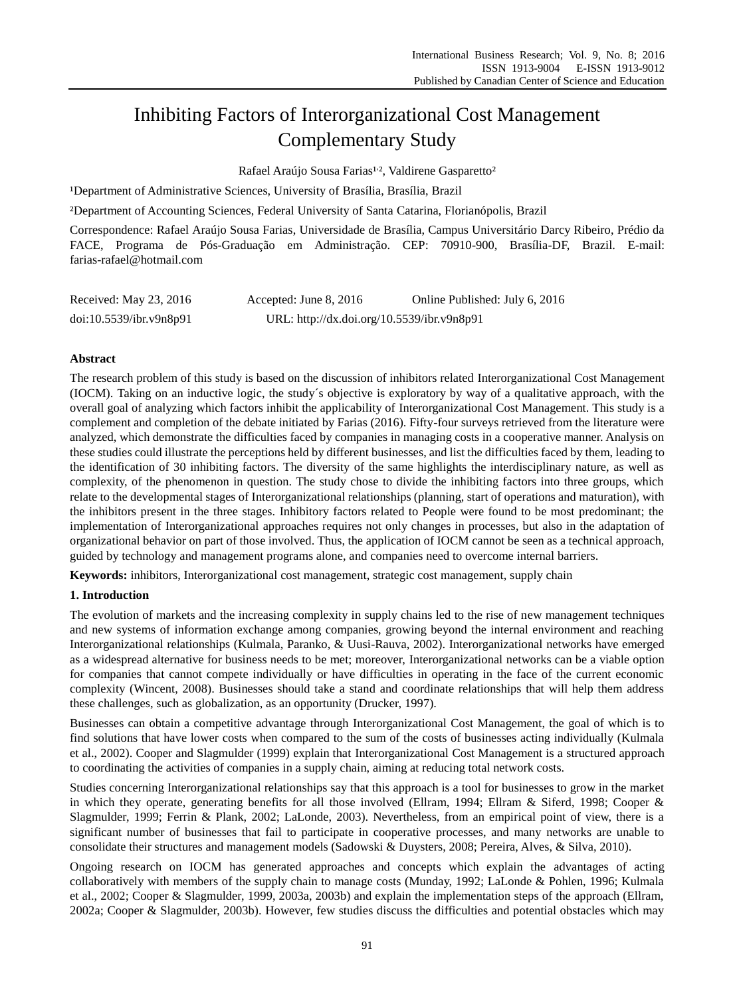# Inhibiting Factors of Interorganizational Cost Management Complementary Study

Rafael Araújo Sousa Farias<sup>1</sup>?, Valdirene Gasparetto<sup>2</sup>

Department of Administrative Sciences, University of Bras Iia, Bras Iia, Brazil

²Department of Accounting Sciences, Federal University of Santa Catarina, Florianópolis, Brazil

Correspondence: Rafael Araújo Sousa Farias, Universidade de Brasília, Campus Universitário Darcy Ribeiro, Prédio da FACE, Programa de Pós-Graduação em Administração. CEP: 70910-900, Brasília-DF, Brazil. E-mail: farias-rafael@hotmail.com

| Received: May 23, 2016  | Accepted: June 8, $2016$                   | Online Published: July 6, 2016 |
|-------------------------|--------------------------------------------|--------------------------------|
| doi:10.5539/ibr.v9n8p91 | URL: http://dx.doi.org/10.5539/ibr.v9n8p91 |                                |

# **Abstract**

The research problem of this study is based on the discussion of inhibitors related Interorganizational Cost Management (IOCM). Taking on an inductive logic, the study´s objective is exploratory by way of a qualitative approach, with the overall goal of analyzing which factors inhibit the applicability of Interorganizational Cost Management. This study is a complement and completion of the debate initiated by Farias (2016). Fifty-four surveys retrieved from the literature were analyzed, which demonstrate the difficulties faced by companies in managing costs in a cooperative manner. Analysis on these studies could illustrate the perceptions held by different businesses, and list the difficulties faced by them, leading to the identification of 30 inhibiting factors. The diversity of the same highlights the interdisciplinary nature, as well as complexity, of the phenomenon in question. The study chose to divide the inhibiting factors into three groups, which relate to the developmental stages of Interorganizational relationships (planning, start of operations and maturation), with the inhibitors present in the three stages. Inhibitory factors related to People were found to be most predominant; the implementation of Interorganizational approaches requires not only changes in processes, but also in the adaptation of organizational behavior on part of those involved. Thus, the application of IOCM cannot be seen as a technical approach, guided by technology and management programs alone, and companies need to overcome internal barriers.

**Keywords:** inhibitors, Interorganizational cost management, strategic cost management, supply chain

# **1. Introduction**

The evolution of markets and the increasing complexity in supply chains led to the rise of new management techniques and new systems of information exchange among companies, growing beyond the internal environment and reaching Interorganizational relationships (Kulmala, Paranko, & Uusi-Rauva, 2002). Interorganizational networks have emerged as a widespread alternative for business needs to be met; moreover, Interorganizational networks can be a viable option for companies that cannot compete individually or have difficulties in operating in the face of the current economic complexity (Wincent, 2008). Businesses should take a stand and coordinate relationships that will help them address these challenges, such as globalization, as an opportunity (Drucker, 1997).

Businesses can obtain a competitive advantage through Interorganizational Cost Management, the goal of which is to find solutions that have lower costs when compared to the sum of the costs of businesses acting individually (Kulmala et al., 2002). Cooper and Slagmulder (1999) explain that Interorganizational Cost Management is a structured approach to coordinating the activities of companies in a supply chain, aiming at reducing total network costs.

Studies concerning Interorganizational relationships say that this approach is a tool for businesses to grow in the market in which they operate, generating benefits for all those involved (Ellram, 1994; Ellram & Siferd, 1998; Cooper & Slagmulder, 1999; Ferrin & Plank, 2002; LaLonde, 2003). Nevertheless, from an empirical point of view, there is a significant number of businesses that fail to participate in cooperative processes, and many networks are unable to consolidate their structures and management models (Sadowski & Duysters, 2008; Pereira, Alves, & Silva, 2010).

Ongoing research on IOCM has generated approaches and concepts which explain the advantages of acting collaboratively with members of the supply chain to manage costs (Munday, 1992; LaLonde & Pohlen, 1996; Kulmala et al., 2002; Cooper & Slagmulder, 1999, 2003a, 2003b) and explain the implementation steps of the approach (Ellram, 2002a; Cooper & Slagmulder, 2003b). However, few studies discuss the difficulties and potential obstacles which may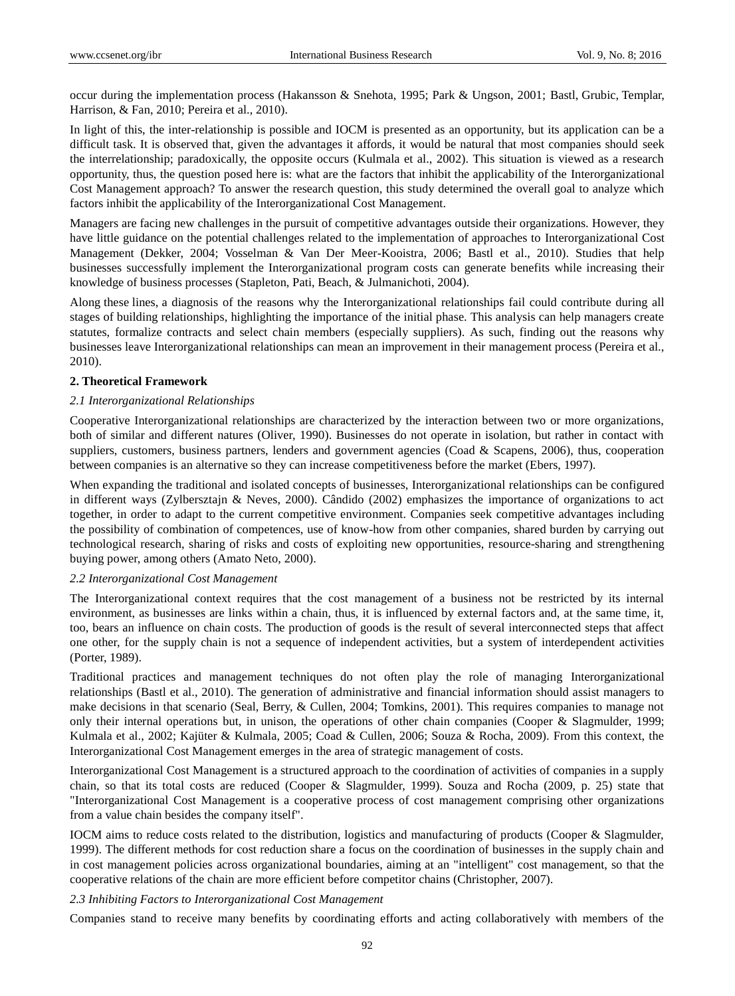occur during the implementation process (Hakansson & Snehota, 1995; Park & Ungson, 2001; Bastl, Grubic, Templar, Harrison, & Fan, 2010; Pereira et al., 2010).

In light of this, the inter-relationship is possible and IOCM is presented as an opportunity, but its application can be a difficult task. It is observed that, given the advantages it affords, it would be natural that most companies should seek the interrelationship; paradoxically, the opposite occurs (Kulmala et al., 2002). This situation is viewed as a research opportunity, thus, the question posed here is: what are the factors that inhibit the applicability of the Interorganizational Cost Management approach? To answer the research question, this study determined the overall goal to analyze which factors inhibit the applicability of the Interorganizational Cost Management.

Managers are facing new challenges in the pursuit of competitive advantages outside their organizations. However, they have little guidance on the potential challenges related to the implementation of approaches to Interorganizational Cost Management (Dekker, 2004; Vosselman & Van Der Meer-Kooistra, 2006; Bastl et al., 2010). Studies that help businesses successfully implement the Interorganizational program costs can generate benefits while increasing their knowledge of business processes (Stapleton, Pati, Beach, & Julmanichoti, 2004).

Along these lines, a diagnosis of the reasons why the Interorganizational relationships fail could contribute during all stages of building relationships, highlighting the importance of the initial phase. This analysis can help managers create statutes, formalize contracts and select chain members (especially suppliers). As such, finding out the reasons why businesses leave Interorganizational relationships can mean an improvement in their management process (Pereira et al., 2010).

#### **2. Theoretical Framework**

#### *2.1 Interorganizational Relationships*

Cooperative Interorganizational relationships are characterized by the interaction between two or more organizations, both of similar and different natures (Oliver, 1990). Businesses do not operate in isolation, but rather in contact with suppliers, customers, business partners, lenders and government agencies (Coad & Scapens, 2006), thus, cooperation between companies is an alternative so they can increase competitiveness before the market (Ebers, 1997).

When expanding the traditional and isolated concepts of businesses, Interorganizational relationships can be configured in different ways (Zylbersztajn & Neves, 2000). Cândido (2002) emphasizes the importance of organizations to act together, in order to adapt to the current competitive environment. Companies seek competitive advantages including the possibility of combination of competences, use of know-how from other companies, shared burden by carrying out technological research, sharing of risks and costs of exploiting new opportunities, resource-sharing and strengthening buying power, among others (Amato Neto, 2000).

### *2.2 Interorganizational Cost Management*

The Interorganizational context requires that the cost management of a business not be restricted by its internal environment, as businesses are links within a chain, thus, it is influenced by external factors and, at the same time, it, too, bears an influence on chain costs. The production of goods is the result of several interconnected steps that affect one other, for the supply chain is not a sequence of independent activities, but a system of interdependent activities (Porter, 1989).

Traditional practices and management techniques do not often play the role of managing Interorganizational relationships (Bastl et al., 2010). The generation of administrative and financial information should assist managers to make decisions in that scenario (Seal, Berry, & Cullen, 2004; Tomkins, 2001). This requires companies to manage not only their internal operations but, in unison, the operations of other chain companies (Cooper & Slagmulder, 1999; Kulmala et al., 2002; Kajüter & Kulmala, 2005; Coad & Cullen, 2006; Souza & Rocha, 2009). From this context, the Interorganizational Cost Management emerges in the area of strategic management of costs.

Interorganizational Cost Management is a structured approach to the coordination of activities of companies in a supply chain, so that its total costs are reduced (Cooper & Slagmulder, 1999). Souza and Rocha (2009, p. 25) state that "Interorganizational Cost Management is a cooperative process of cost management comprising other organizations from a value chain besides the company itself".

IOCM aims to reduce costs related to the distribution, logistics and manufacturing of products (Cooper & Slagmulder, 1999). The different methods for cost reduction share a focus on the coordination of businesses in the supply chain and in cost management policies across organizational boundaries, aiming at an "intelligent" cost management, so that the cooperative relations of the chain are more efficient before competitor chains (Christopher, 2007).

#### *2.3 Inhibiting Factors to Interorganizational Cost Management*

Companies stand to receive many benefits by coordinating efforts and acting collaboratively with members of the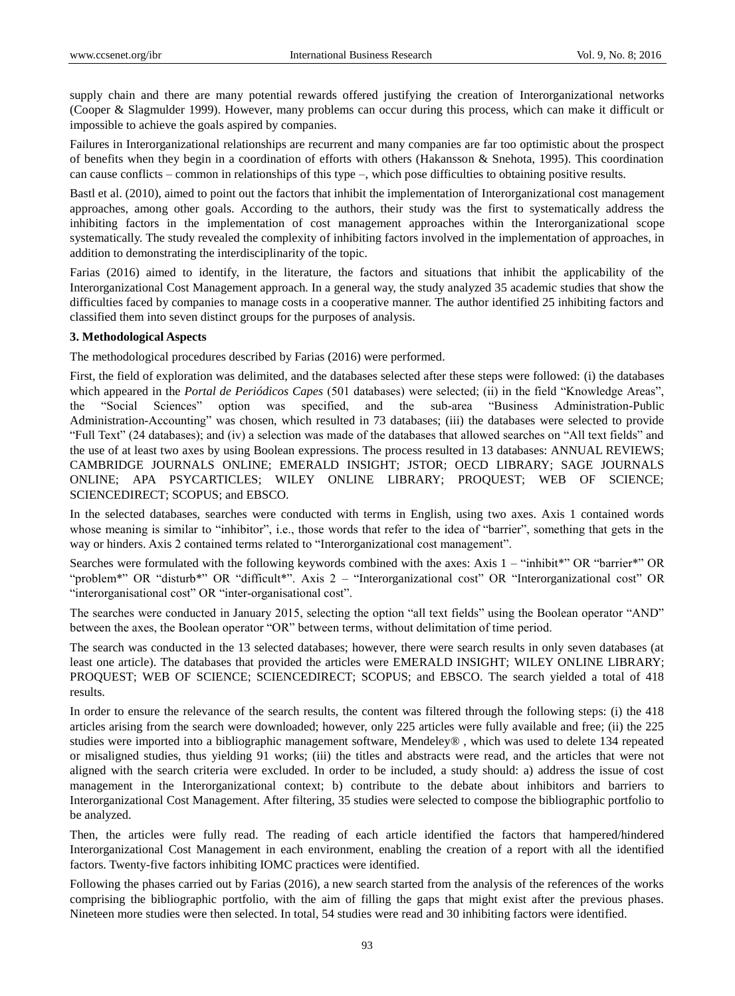supply chain and there are many potential rewards offered justifying the creation of Interorganizational networks (Cooper & Slagmulder 1999). However, many problems can occur during this process, which can make it difficult or impossible to achieve the goals aspired by companies.

Failures in Interorganizational relationships are recurrent and many companies are far too optimistic about the prospect of benefits when they begin in a coordination of efforts with others (Hakansson & Snehota, 1995). This coordination can cause conflicts – common in relationships of this type –, which pose difficulties to obtaining positive results.

Bastl et al. (2010), aimed to point out the factors that inhibit the implementation of Interorganizational cost management approaches, among other goals. According to the authors, their study was the first to systematically address the inhibiting factors in the implementation of cost management approaches within the Interorganizational scope systematically. The study revealed the complexity of inhibiting factors involved in the implementation of approaches, in addition to demonstrating the interdisciplinarity of the topic.

Farias (2016) aimed to identify, in the literature, the factors and situations that inhibit the applicability of the Interorganizational Cost Management approach. In a general way, the study analyzed 35 academic studies that show the difficulties faced by companies to manage costs in a cooperative manner. The author identified 25 inhibiting factors and classified them into seven distinct groups for the purposes of analysis.

## **3. Methodological Aspects**

The methodological procedures described by Farias (2016) were performed.

First, the field of exploration was delimited, and the databases selected after these steps were followed: (i) the databases which appeared in the *Portal de Periódicos Capes* (501 databases) were selected; (ii) in the field "Knowledge Areas", the "Social Sciences" option was specified, and the sub-area "Business Administration-Public Administration-Accounting" was chosen, which resulted in 73 databases; (iii) the databases were selected to provide "Full Text" (24 databases); and (iv) a selection was made of the databases that allowed searches on "All text fields" and the use of at least two axes by using Boolean expressions. The process resulted in 13 databases: ANNUAL REVIEWS; CAMBRIDGE JOURNALS ONLINE; EMERALD INSIGHT; JSTOR; OECD LIBRARY; SAGE JOURNALS ONLINE; APA PSYCARTICLES; WILEY ONLINE LIBRARY; PROQUEST; WEB OF SCIENCE; SCIENCEDIRECT; SCOPUS; and EBSCO.

In the selected databases, searches were conducted with terms in English, using two axes. Axis 1 contained words whose meaning is similar to "inhibitor", i.e., those words that refer to the idea of "barrier", something that gets in the way or hinders. Axis 2 contained terms related to "Interorganizational cost management".

Searches were formulated with the following keywords combined with the axes: Axis 1 – "inhibit\*" OR "barrier\*" OR "problem\*" OR "disturb\*" OR "difficult\*". Axis 2 – "Interorganizational cost" OR "Interorganizational cost" OR "interorganisational cost" OR "inter-organisational cost".

The searches were conducted in January 2015, selecting the option "all text fields" using the Boolean operator "AND" between the axes, the Boolean operator "OR" between terms, without delimitation of time period.

The search was conducted in the 13 selected databases; however, there were search results in only seven databases (at least one article). The databases that provided the articles were EMERALD INSIGHT; WILEY ONLINE LIBRARY; PROQUEST; WEB OF SCIENCE; SCIENCEDIRECT; SCOPUS; and EBSCO. The search yielded a total of 418 results.

In order to ensure the relevance of the search results, the content was filtered through the following steps: (i) the 418 articles arising from the search were downloaded; however, only 225 articles were fully available and free; (ii) the 225 studies were imported into a bibliographic management software, Mendeley® , which was used to delete 134 repeated or misaligned studies, thus yielding 91 works; (iii) the titles and abstracts were read, and the articles that were not aligned with the search criteria were excluded. In order to be included, a study should: a) address the issue of cost management in the Interorganizational context; b) contribute to the debate about inhibitors and barriers to Interorganizational Cost Management. After filtering, 35 studies were selected to compose the bibliographic portfolio to be analyzed.

Then, the articles were fully read. The reading of each article identified the factors that hampered/hindered Interorganizational Cost Management in each environment, enabling the creation of a report with all the identified factors. Twenty-five factors inhibiting IOMC practices were identified.

Following the phases carried out by Farias (2016), a new search started from the analysis of the references of the works comprising the bibliographic portfolio, with the aim of filling the gaps that might exist after the previous phases. Nineteen more studies were then selected. In total, 54 studies were read and 30 inhibiting factors were identified.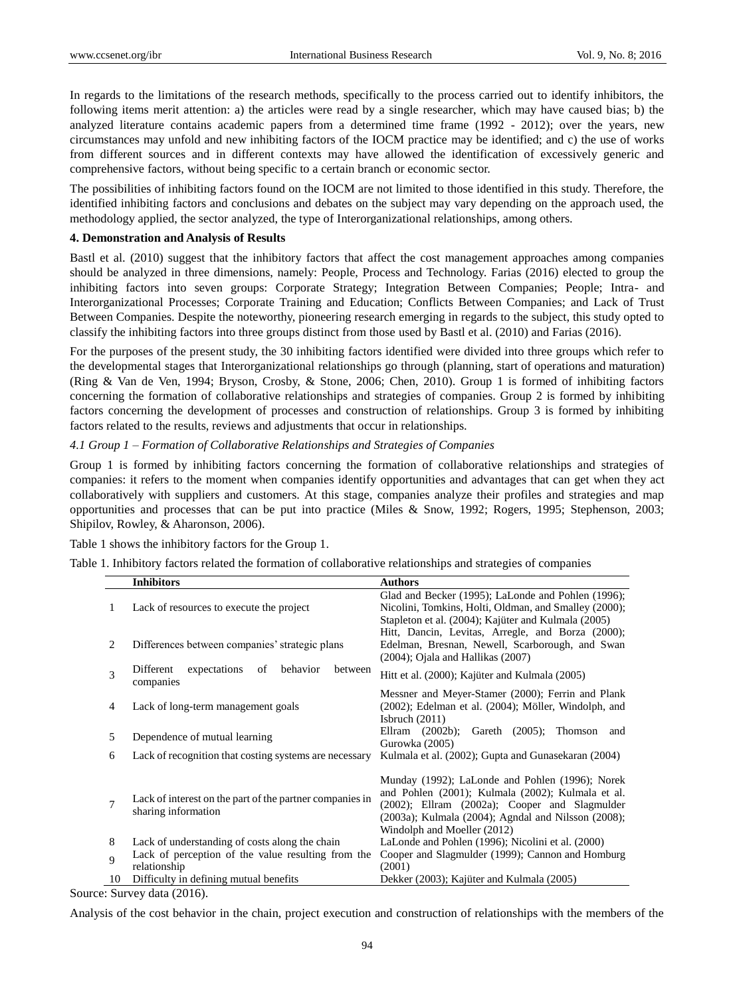In regards to the limitations of the research methods, specifically to the process carried out to identify inhibitors, the following items merit attention: a) the articles were read by a single researcher, which may have caused bias; b) the analyzed literature contains academic papers from a determined time frame (1992 - 2012); over the years, new circumstances may unfold and new inhibiting factors of the IOCM practice may be identified; and c) the use of works from different sources and in different contexts may have allowed the identification of excessively generic and comprehensive factors, without being specific to a certain branch or economic sector.

The possibilities of inhibiting factors found on the IOCM are not limited to those identified in this study. Therefore, the identified inhibiting factors and conclusions and debates on the subject may vary depending on the approach used, the methodology applied, the sector analyzed, the type of Interorganizational relationships, among others.

## **4. Demonstration and Analysis of Results**

Bastl et al. (2010) suggest that the inhibitory factors that affect the cost management approaches among companies should be analyzed in three dimensions, namely: People, Process and Technology. Farias (2016) elected to group the inhibiting factors into seven groups: Corporate Strategy; Integration Between Companies; People; Intra- and Interorganizational Processes; Corporate Training and Education; Conflicts Between Companies; and Lack of Trust Between Companies. Despite the noteworthy, pioneering research emerging in regards to the subject, this study opted to classify the inhibiting factors into three groups distinct from those used by Bastl et al. (2010) and Farias (2016).

For the purposes of the present study, the 30 inhibiting factors identified were divided into three groups which refer to the developmental stages that Interorganizational relationships go through (planning, start of operations and maturation) (Ring & Van de Ven, 1994; Bryson, Crosby, & Stone, 2006; Chen, 2010). Group 1 is formed of inhibiting factors concerning the formation of collaborative relationships and strategies of companies. Group 2 is formed by inhibiting factors concerning the development of processes and construction of relationships. Group 3 is formed by inhibiting factors related to the results, reviews and adjustments that occur in relationships.

### *4.1 Group 1 – Formation of Collaborative Relationships and Strategies of Companies*

Group 1 is formed by inhibiting factors concerning the formation of collaborative relationships and strategies of companies: it refers to the moment when companies identify opportunities and advantages that can get when they act collaboratively with suppliers and customers. At this stage, companies analyze their profiles and strategies and map opportunities and processes that can be put into practice (Miles & Snow, 1992; Rogers, 1995; Stephenson, 2003; Shipilov, Rowley, & Aharonson, 2006).

Table 1 shows the inhibitory factors for the Group 1.

Table 1. Inhibitory factors related the formation of collaborative relationships and strategies of companies

|    | <b>Inhibitors</b>                                                               | <b>Authors</b>                                                                                                                                                                                                                                    |  |
|----|---------------------------------------------------------------------------------|---------------------------------------------------------------------------------------------------------------------------------------------------------------------------------------------------------------------------------------------------|--|
| 1  | Lack of resources to execute the project                                        | Glad and Becker (1995); LaLonde and Pohlen (1996);<br>Nicolini, Tomkins, Holti, Oldman, and Smalley (2000);<br>Stapleton et al. (2004); Kaj üter and Kulmala (2005)                                                                               |  |
| 2  | Differences between companies' strategic plans                                  | Hitt, Dancin, Levitas, Arregle, and Borza (2000);<br>Edelman, Bresnan, Newell, Scarborough, and Swan<br>$(2004)$ ; Ojala and Hallikas $(2007)$                                                                                                    |  |
| 3  | expectations<br>behavior<br>of<br>Different<br>between<br>companies             | Hitt et al. (2000); Kaj üter and Kulmala (2005)                                                                                                                                                                                                   |  |
| 4  | Lack of long-term management goals                                              | Messner and Meyer-Stamer (2000); Ferrin and Plank<br>(2002); Edelman et al. (2004); Möller, Windolph, and<br>Isbruch $(2011)$                                                                                                                     |  |
| 5  | Dependence of mutual learning                                                   | Ellram $(2002b)$ ;<br>Gareth (2005); Thomson<br>and<br>Gurowka (2005)                                                                                                                                                                             |  |
| 6  | Lack of recognition that costing systems are necessary                          | Kulmala et al. (2002); Gupta and Gunasekaran (2004)                                                                                                                                                                                               |  |
| 7  | Lack of interest on the part of the partner companies in<br>sharing information | Munday (1992); LaLonde and Pohlen (1996); Norek<br>and Pohlen (2001); Kulmala (2002); Kulmala et al.<br>$(2002)$ ; Ellram $(2002a)$ ; Cooper and Slagmulder<br>(2003a); Kulmala (2004); Agndal and Nilsson (2008);<br>Windolph and Moeller (2012) |  |
| 8  | Lack of understanding of costs along the chain                                  | LaLonde and Pohlen (1996); Nicolini et al. (2000)                                                                                                                                                                                                 |  |
| 9  | Lack of perception of the value resulting from the<br>relationship              | Cooper and Slagmulder (1999); Cannon and Homburg<br>(2001)                                                                                                                                                                                        |  |
| 10 | Difficulty in defining mutual benefits                                          | Dekker (2003); Kaj üter and Kulmala (2005)                                                                                                                                                                                                        |  |

Source: Survey data (2016).

Analysis of the cost behavior in the chain, project execution and construction of relationships with the members of the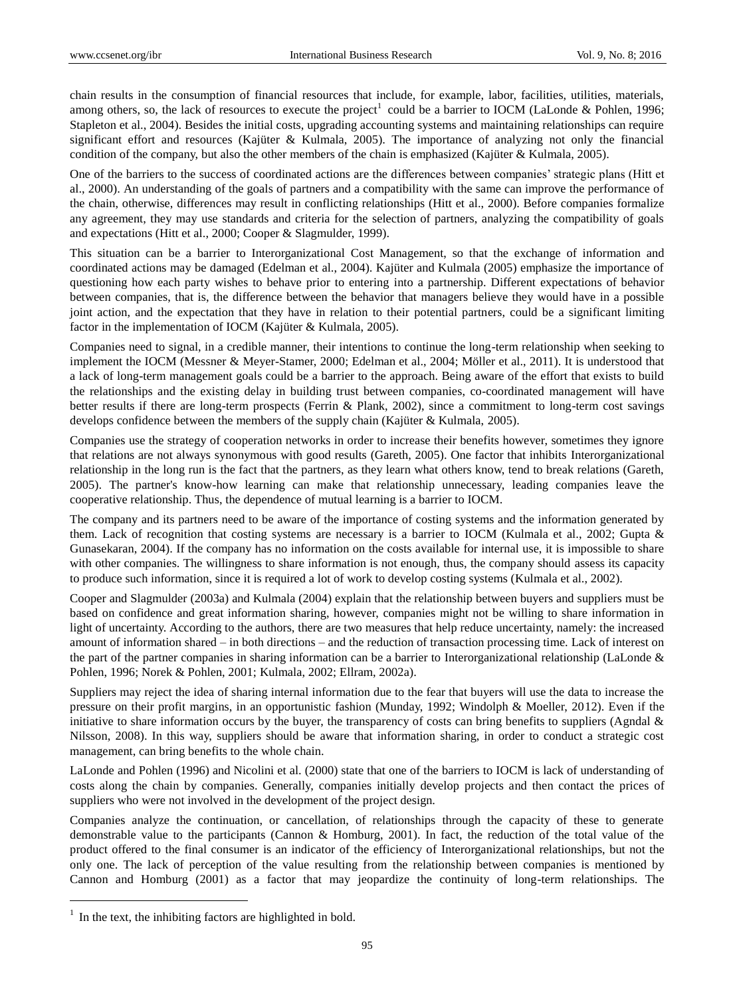chain results in the consumption of financial resources that include, for example, labor, facilities, utilities, materials, among others, so, the lack of resources to execute the project<sup>1</sup> could be a barrier to IOCM (LaLonde & Pohlen, 1996; Stapleton et al., 2004). Besides the initial costs, upgrading accounting systems and maintaining relationships can require significant effort and resources (Kajüter & Kulmala, 2005). The importance of analyzing not only the financial condition of the company, but also the other members of the chain is emphasized (Kajüter & Kulmala, 2005).

One of the barriers to the success of coordinated actions are the differences between companies' strategic plans (Hitt et al., 2000). An understanding of the goals of partners and a compatibility with the same can improve the performance of the chain, otherwise, differences may result in conflicting relationships (Hitt et al., 2000). Before companies formalize any agreement, they may use standards and criteria for the selection of partners, analyzing the compatibility of goals and expectations (Hitt et al., 2000; Cooper & Slagmulder, 1999).

This situation can be a barrier to Interorganizational Cost Management, so that the exchange of information and coordinated actions may be damaged (Edelman et al., 2004). Kajüter and Kulmala (2005) emphasize the importance of questioning how each party wishes to behave prior to entering into a partnership. Different expectations of behavior between companies, that is, the difference between the behavior that managers believe they would have in a possible joint action, and the expectation that they have in relation to their potential partners, could be a significant limiting factor in the implementation of IOCM (Kajüter & Kulmala, 2005).

Companies need to signal, in a credible manner, their intentions to continue the long-term relationship when seeking to implement the IOCM (Messner & Meyer-Stamer, 2000; Edelman et al., 2004; Möller et al., 2011). It is understood that a lack of long-term management goals could be a barrier to the approach. Being aware of the effort that exists to build the relationships and the existing delay in building trust between companies, co-coordinated management will have better results if there are long-term prospects (Ferrin & Plank, 2002), since a commitment to long-term cost savings develops confidence between the members of the supply chain (Kajüter & Kulmala, 2005).

Companies use the strategy of cooperation networks in order to increase their benefits however, sometimes they ignore that relations are not always synonymous with good results (Gareth, 2005). One factor that inhibits Interorganizational relationship in the long run is the fact that the partners, as they learn what others know, tend to break relations (Gareth, 2005). The partner's know-how learning can make that relationship unnecessary, leading companies leave the cooperative relationship. Thus, the dependence of mutual learning is a barrier to IOCM.

The company and its partners need to be aware of the importance of costing systems and the information generated by them. Lack of recognition that costing systems are necessary is a barrier to IOCM (Kulmala et al., 2002; Gupta & Gunasekaran, 2004). If the company has no information on the costs available for internal use, it is impossible to share with other companies. The willingness to share information is not enough, thus, the company should assess its capacity to produce such information, since it is required a lot of work to develop costing systems (Kulmala et al., 2002).

Cooper and Slagmulder (2003a) and Kulmala (2004) explain that the relationship between buyers and suppliers must be based on confidence and great information sharing, however, companies might not be willing to share information in light of uncertainty. According to the authors, there are two measures that help reduce uncertainty, namely: the increased amount of information shared – in both directions – and the reduction of transaction processing time. Lack of interest on the part of the partner companies in sharing information can be a barrier to Interorganizational relationship (LaLonde & Pohlen, 1996; Norek & Pohlen, 2001; Kulmala, 2002; Ellram, 2002a).

Suppliers may reject the idea of sharing internal information due to the fear that buyers will use the data to increase the pressure on their profit margins, in an opportunistic fashion (Munday, 1992; Windolph & Moeller, 2012). Even if the initiative to share information occurs by the buyer, the transparency of costs can bring benefits to suppliers (Agndal  $\&$ Nilsson, 2008). In this way, suppliers should be aware that information sharing, in order to conduct a strategic cost management, can bring benefits to the whole chain.

LaLonde and Pohlen (1996) and Nicolini et al. (2000) state that one of the barriers to IOCM is lack of understanding of costs along the chain by companies. Generally, companies initially develop projects and then contact the prices of suppliers who were not involved in the development of the project design.

Companies analyze the continuation, or cancellation, of relationships through the capacity of these to generate demonstrable value to the participants (Cannon & Homburg, 2001). In fact, the reduction of the total value of the product offered to the final consumer is an indicator of the efficiency of Interorganizational relationships, but not the only one. The lack of perception of the value resulting from the relationship between companies is mentioned by Cannon and Homburg (2001) as a factor that may jeopardize the continuity of long-term relationships. The

1

 $1$  In the text, the inhibiting factors are highlighted in bold.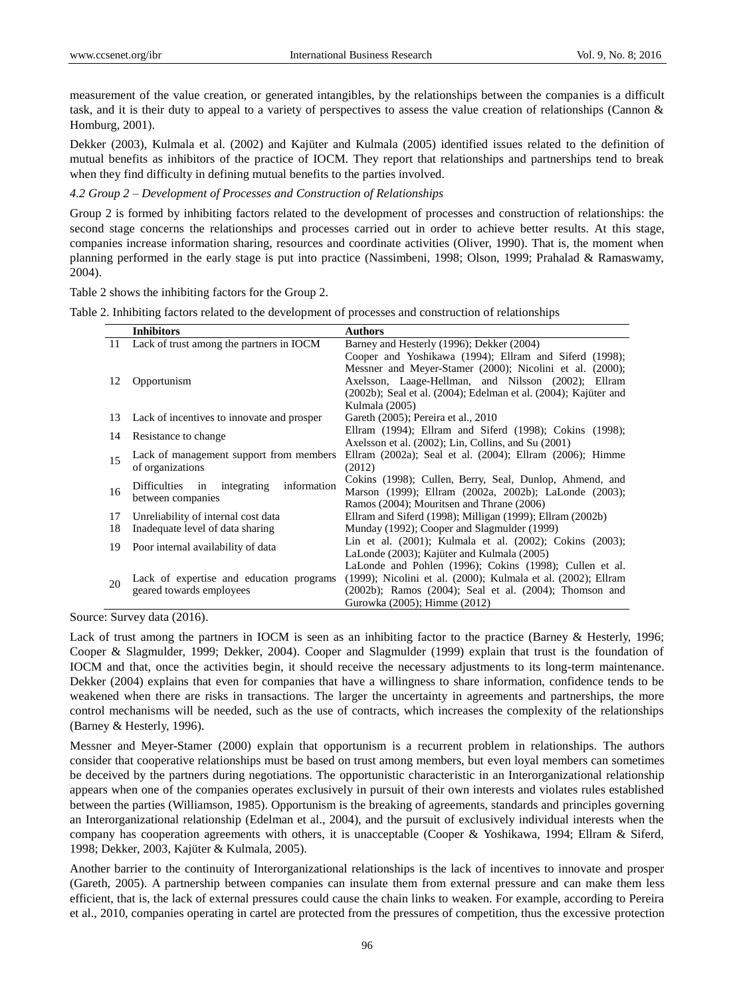measurement of the value creation, or generated intangibles, by the relationships between the companies is a difficult task, and it is their duty to appeal to a variety of perspectives to assess the value creation of relationships (Cannon & Homburg, 2001).

Dekker (2003), Kulmala et al. (2002) and Kajüter and Kulmala (2005) identified issues related to the definition of mutual benefits as inhibitors of the practice of IOCM. They report that relationships and partnerships tend to break when they find difficulty in defining mutual benefits to the parties involved.

# *4.2 Group 2 – Development of Processes and Construction of Relationships*

Group 2 is formed by inhibiting factors related to the development of processes and construction of relationships: the second stage concerns the relationships and processes carried out in order to achieve better results. At this stage, companies increase information sharing, resources and coordinate activities (Oliver, 1990). That is, the moment when planning performed in the early stage is put into practice (Nassimbeni, 1998; Olson, 1999; Prahalad & Ramaswamy, 2004).

Table 2 shows the inhibiting factors for the Group 2.

|  |  |  |  | Table 2. Inhibiting factors related to the development of processes and construction of relationships |  |
|--|--|--|--|-------------------------------------------------------------------------------------------------------|--|
|  |  |  |  |                                                                                                       |  |

|    | <b>Inhibitors</b>                          | <b>Authors</b>                                                   |  |  |
|----|--------------------------------------------|------------------------------------------------------------------|--|--|
| 11 | Lack of trust among the partners in IOCM   | Barney and Hesterly (1996); Dekker (2004)                        |  |  |
|    |                                            | Cooper and Yoshikawa (1994); Ellram and Siferd (1998);           |  |  |
|    |                                            | Messner and Meyer-Stamer (2000); Nicolini et al. (2000);         |  |  |
| 12 | Opportunism                                | Axelsson, Laage-Hellman, and Nilsson (2002); Ellram              |  |  |
|    |                                            | (2002b); Seal et al. (2004); Edelman et al. (2004); Kaj üter and |  |  |
|    |                                            | Kulmala (2005)                                                   |  |  |
| 13 | Lack of incentives to innovate and prosper | Gareth (2005); Pereira et al., 2010                              |  |  |
| 14 | Resistance to change                       | Ellram (1994); Ellram and Siferd (1998); Cokins (1998);          |  |  |
|    |                                            | Axelsson et al. (2002); Lin, Collins, and Su (2001)              |  |  |
| 15 | Lack of management support from members    | Ellram (2002a); Seal et al. (2004); Ellram (2006); Himme         |  |  |
|    | of organizations                           | (2012)                                                           |  |  |
|    | Difficulties in integrating<br>information | Cokins (1998); Cullen, Berry, Seal, Dunlop, Ahmend, and          |  |  |
| 16 | between companies                          | Marson (1999); Ellram (2002a, 2002b); LaLonde (2003);            |  |  |
|    |                                            | Ramos (2004); Mouritsen and Thrane (2006)                        |  |  |
| 17 | Unreliability of internal cost data        | Ellram and Siferd (1998); Milligan (1999); Ellram (2002b)        |  |  |
| 18 | Inadequate level of data sharing           | Munday (1992); Cooper and Slagmulder (1999)                      |  |  |
| 19 | Poor internal availability of data         | Lin et al. (2001); Kulmala et al. (2002); Cokins (2003);         |  |  |
|    |                                            | LaLonde (2003); Kaj üter and Kulmala (2005)                      |  |  |
|    |                                            | LaLonde and Pohlen (1996); Cokins (1998); Cullen et al.          |  |  |
| 20 | Lack of expertise and education programs   | (1999); Nicolini et al. (2000); Kulmala et al. (2002); Ellram    |  |  |
|    | geared towards employees                   | (2002b); Ramos (2004); Seal et al. (2004); Thomson and           |  |  |
|    |                                            | Gurowka (2005); Himme (2012)                                     |  |  |

Source: Survey data (2016).

Lack of trust among the partners in IOCM is seen as an inhibiting factor to the practice (Barney & Hesterly, 1996; Cooper & Slagmulder, 1999; Dekker, 2004). Cooper and Slagmulder (1999) explain that trust is the foundation of IOCM and that, once the activities begin, it should receive the necessary adjustments to its long-term maintenance. Dekker (2004) explains that even for companies that have a willingness to share information, confidence tends to be weakened when there are risks in transactions. The larger the uncertainty in agreements and partnerships, the more control mechanisms will be needed, such as the use of contracts, which increases the complexity of the relationships (Barney & Hesterly, 1996).

Messner and Meyer-Stamer (2000) explain that opportunism is a recurrent problem in relationships. The authors consider that cooperative relationships must be based on trust among members, but even loyal members can sometimes be deceived by the partners during negotiations. The opportunistic characteristic in an Interorganizational relationship appears when one of the companies operates exclusively in pursuit of their own interests and violates rules established between the parties (Williamson, 1985). Opportunism is the breaking of agreements, standards and principles governing an Interorganizational relationship (Edelman et al., 2004), and the pursuit of exclusively individual interests when the company has cooperation agreements with others, it is unacceptable (Cooper & Yoshikawa, 1994; Ellram & Siferd, 1998; Dekker, 2003, Kajüter & Kulmala, 2005).

Another barrier to the continuity of Interorganizational relationships is the lack of incentives to innovate and prosper (Gareth, 2005). A partnership between companies can insulate them from external pressure and can make them less efficient, that is, the lack of external pressures could cause the chain links to weaken. For example, according to Pereira et al., 2010, companies operating in cartel are protected from the pressures of competition, thus the excessive protection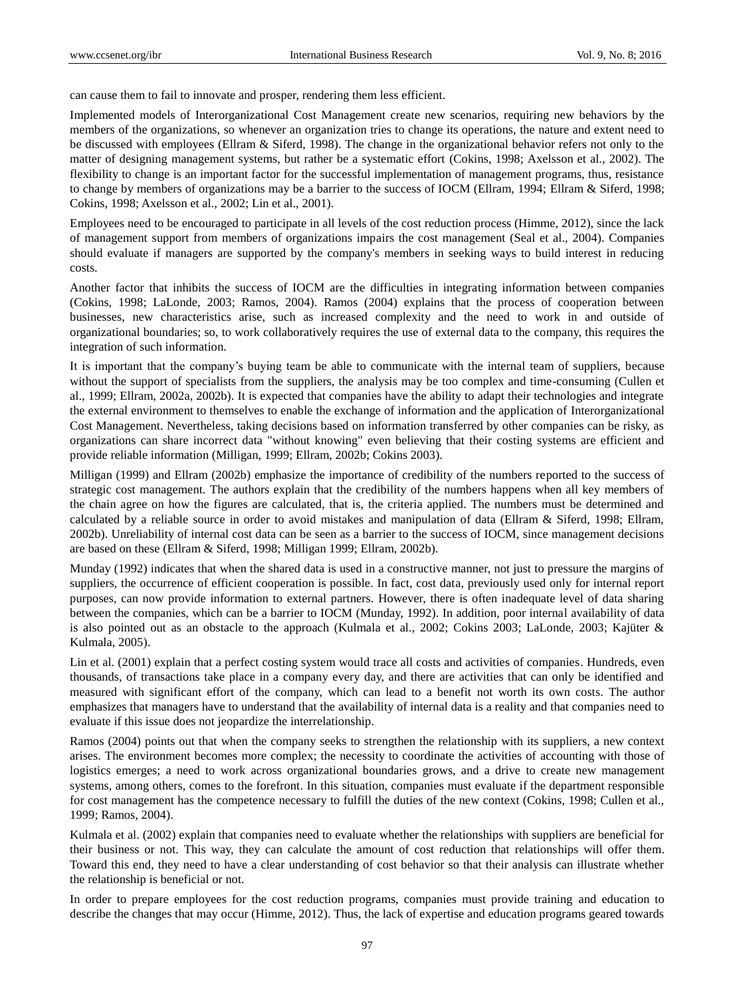can cause them to fail to innovate and prosper, rendering them less efficient.

Implemented models of Interorganizational Cost Management create new scenarios, requiring new behaviors by the members of the organizations, so whenever an organization tries to change its operations, the nature and extent need to be discussed with employees (Ellram & Siferd, 1998). The change in the organizational behavior refers not only to the matter of designing management systems, but rather be a systematic effort (Cokins, 1998; Axelsson et al., 2002). The flexibility to change is an important factor for the successful implementation of management programs, thus, resistance to change by members of organizations may be a barrier to the success of IOCM (Ellram, 1994; Ellram & Siferd, 1998; Cokins, 1998; Axelsson et al., 2002; Lin et al., 2001).

Employees need to be encouraged to participate in all levels of the cost reduction process (Himme, 2012), since the lack of management support from members of organizations impairs the cost management (Seal et al., 2004). Companies should evaluate if managers are supported by the company's members in seeking ways to build interest in reducing costs.

Another factor that inhibits the success of IOCM are the difficulties in integrating information between companies (Cokins, 1998; LaLonde, 2003; Ramos, 2004). Ramos (2004) explains that the process of cooperation between businesses, new characteristics arise, such as increased complexity and the need to work in and outside of organizational boundaries; so, to work collaboratively requires the use of external data to the company, this requires the integration of such information.

It is important that the company's buying team be able to communicate with the internal team of suppliers, because without the support of specialists from the suppliers, the analysis may be too complex and time-consuming (Cullen et al., 1999; Ellram, 2002a, 2002b). It is expected that companies have the ability to adapt their technologies and integrate the external environment to themselves to enable the exchange of information and the application of Interorganizational Cost Management. Nevertheless, taking decisions based on information transferred by other companies can be risky, as organizations can share incorrect data "without knowing" even believing that their costing systems are efficient and provide reliable information (Milligan, 1999; Ellram, 2002b; Cokins 2003).

Milligan (1999) and Ellram (2002b) emphasize the importance of credibility of the numbers reported to the success of strategic cost management. The authors explain that the credibility of the numbers happens when all key members of the chain agree on how the figures are calculated, that is, the criteria applied. The numbers must be determined and calculated by a reliable source in order to avoid mistakes and manipulation of data (Ellram & Siferd, 1998; Ellram, 2002b). Unreliability of internal cost data can be seen as a barrier to the success of IOCM, since management decisions are based on these (Ellram & Siferd, 1998; Milligan 1999; Ellram, 2002b).

Munday (1992) indicates that when the shared data is used in a constructive manner, not just to pressure the margins of suppliers, the occurrence of efficient cooperation is possible. In fact, cost data, previously used only for internal report purposes, can now provide information to external partners. However, there is often inadequate level of data sharing between the companies, which can be a barrier to IOCM (Munday, 1992). In addition, poor internal availability of data is also pointed out as an obstacle to the approach (Kulmala et al., 2002; Cokins 2003; LaLonde, 2003; Kajüter & Kulmala, 2005).

Lin et al. (2001) explain that a perfect costing system would trace all costs and activities of companies. Hundreds, even thousands, of transactions take place in a company every day, and there are activities that can only be identified and measured with significant effort of the company, which can lead to a benefit not worth its own costs. The author emphasizes that managers have to understand that the availability of internal data is a reality and that companies need to evaluate if this issue does not jeopardize the interrelationship.

Ramos (2004) points out that when the company seeks to strengthen the relationship with its suppliers, a new context arises. The environment becomes more complex; the necessity to coordinate the activities of accounting with those of logistics emerges; a need to work across organizational boundaries grows, and a drive to create new management systems, among others, comes to the forefront. In this situation, companies must evaluate if the department responsible for cost management has the competence necessary to fulfill the duties of the new context (Cokins, 1998; Cullen et al., 1999; Ramos, 2004).

Kulmala et al. (2002) explain that companies need to evaluate whether the relationships with suppliers are beneficial for their business or not. This way, they can calculate the amount of cost reduction that relationships will offer them. Toward this end, they need to have a clear understanding of cost behavior so that their analysis can illustrate whether the relationship is beneficial or not.

In order to prepare employees for the cost reduction programs, companies must provide training and education to describe the changes that may occur (Himme, 2012). Thus, the lack of expertise and education programs geared towards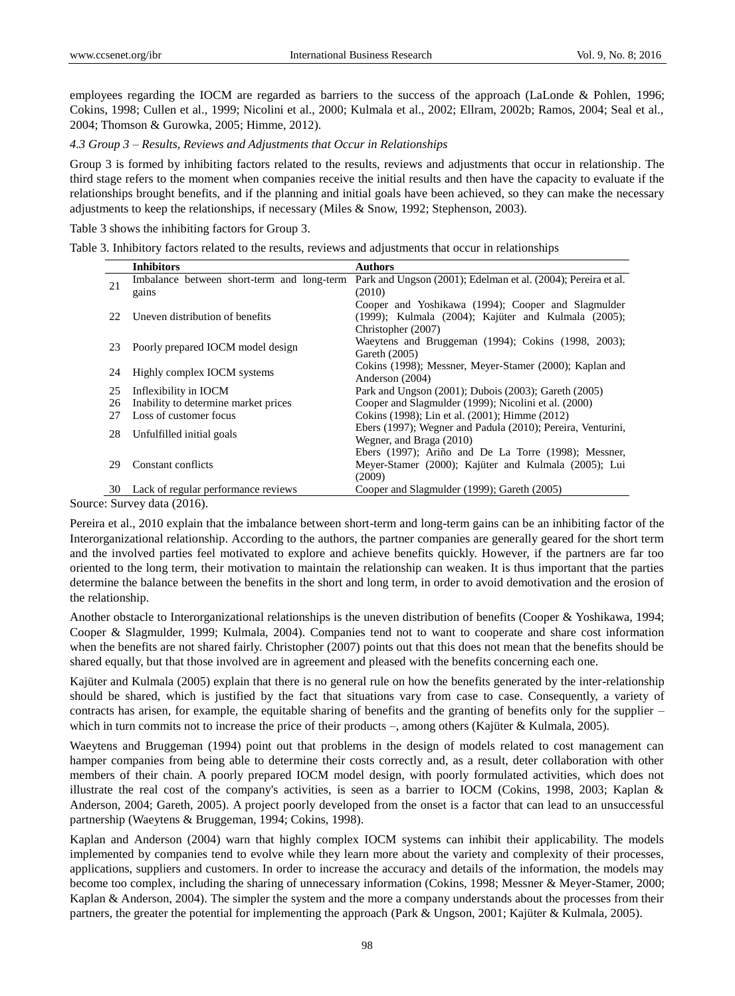employees regarding the IOCM are regarded as barriers to the success of the approach (LaLonde & Pohlen, 1996; Cokins, 1998; Cullen et al., 1999; Nicolini et al., 2000; Kulmala et al., 2002; Ellram, 2002b; Ramos, 2004; Seal et al., 2004; Thomson & Gurowka, 2005; Himme, 2012).

### *4.3 Group 3 – Results, Reviews and Adjustments that Occur in Relationships*

Group 3 is formed by inhibiting factors related to the results, reviews and adjustments that occur in relationship. The third stage refers to the moment when companies receive the initial results and then have the capacity to evaluate if the relationships brought benefits, and if the planning and initial goals have been achieved, so they can make the necessary adjustments to keep the relationships, if necessary (Miles & Snow, 1992; Stephenson, 2003).

Table 3 shows the inhibiting factors for Group 3.

Table 3. Inhibitory factors related to the results, reviews and adjustments that occur in relationships

|    | <b>Inhibitors</b>                          | <b>Authors</b>                                                                                                                  |  |
|----|--------------------------------------------|---------------------------------------------------------------------------------------------------------------------------------|--|
| 21 | Imbalance between short-term and long-term | Park and Ungson (2001); Edelman et al. (2004); Pereira et al.                                                                   |  |
|    | gains                                      | (2010)                                                                                                                          |  |
| 22 | Uneven distribution of benefits            | Cooper and Yoshikawa (1994); Cooper and Slagmulder<br>(1999); Kulmala (2004); Kajüter and Kulmala (2005);<br>Christopher (2007) |  |
| 23 | Poorly prepared IOCM model design          | Waeytens and Bruggeman (1994); Cokins (1998, 2003);<br>Gareth (2005)                                                            |  |
| 24 | Highly complex IOCM systems                | Cokins (1998); Messner, Meyer-Stamer (2000); Kaplan and<br>Anderson (2004)                                                      |  |
| 25 | Inflexibility in IOCM                      | Park and Ungson (2001); Dubois (2003); Gareth (2005)                                                                            |  |
| 26 | Inability to determine market prices       | Cooper and Slagmulder (1999); Nicolini et al. (2000)                                                                            |  |
| 27 | Loss of customer focus                     | Cokins (1998); Lin et al. (2001); Himme (2012)                                                                                  |  |
| 28 | Unfulfilled initial goals                  | Ebers (1997); Wegner and Padula (2010); Pereira, Venturini,<br>Wegner, and Braga (2010)                                         |  |
| 29 | Constant conflicts                         | Ebers $(1997)$ ; Ariño and De La Torre $(1998)$ ; Messner,<br>Meyer-Stamer (2000); Kajüter and Kulmala (2005); Lui<br>(2009)    |  |
| 30 | Lack of regular performance reviews        | Cooper and Slagmulder (1999); Gareth (2005)                                                                                     |  |

Source: Survey data (2016).

Pereira et al., 2010 explain that the imbalance between short-term and long-term gains can be an inhibiting factor of the Interorganizational relationship. According to the authors, the partner companies are generally geared for the short term and the involved parties feel motivated to explore and achieve benefits quickly. However, if the partners are far too oriented to the long term, their motivation to maintain the relationship can weaken. It is thus important that the parties determine the balance between the benefits in the short and long term, in order to avoid demotivation and the erosion of the relationship.

Another obstacle to Interorganizational relationships is the uneven distribution of benefits (Cooper & Yoshikawa, 1994; Cooper & Slagmulder, 1999; Kulmala, 2004). Companies tend not to want to cooperate and share cost information when the benefits are not shared fairly. Christopher (2007) points out that this does not mean that the benefits should be shared equally, but that those involved are in agreement and pleased with the benefits concerning each one.

Kajüter and Kulmala (2005) explain that there is no general rule on how the benefits generated by the inter-relationship should be shared, which is justified by the fact that situations vary from case to case. Consequently, a variety of contracts has arisen, for example, the equitable sharing of benefits and the granting of benefits only for the supplier – which in turn commits not to increase the price of their products –, among others (Kaj üter & Kulmala, 2005).

Waeytens and Bruggeman (1994) point out that problems in the design of models related to cost management can hamper companies from being able to determine their costs correctly and, as a result, deter collaboration with other members of their chain. A poorly prepared IOCM model design, with poorly formulated activities, which does not illustrate the real cost of the company's activities, is seen as a barrier to IOCM (Cokins, 1998, 2003; Kaplan & Anderson, 2004; Gareth, 2005). A project poorly developed from the onset is a factor that can lead to an unsuccessful partnership (Waeytens & Bruggeman, 1994; Cokins, 1998).

Kaplan and Anderson (2004) warn that highly complex IOCM systems can inhibit their applicability. The models implemented by companies tend to evolve while they learn more about the variety and complexity of their processes, applications, suppliers and customers. In order to increase the accuracy and details of the information, the models may become too complex, including the sharing of unnecessary information (Cokins, 1998; Messner & Meyer-Stamer, 2000; Kaplan & Anderson, 2004). The simpler the system and the more a company understands about the processes from their partners, the greater the potential for implementing the approach (Park & Ungson, 2001; Kajüter & Kulmala, 2005).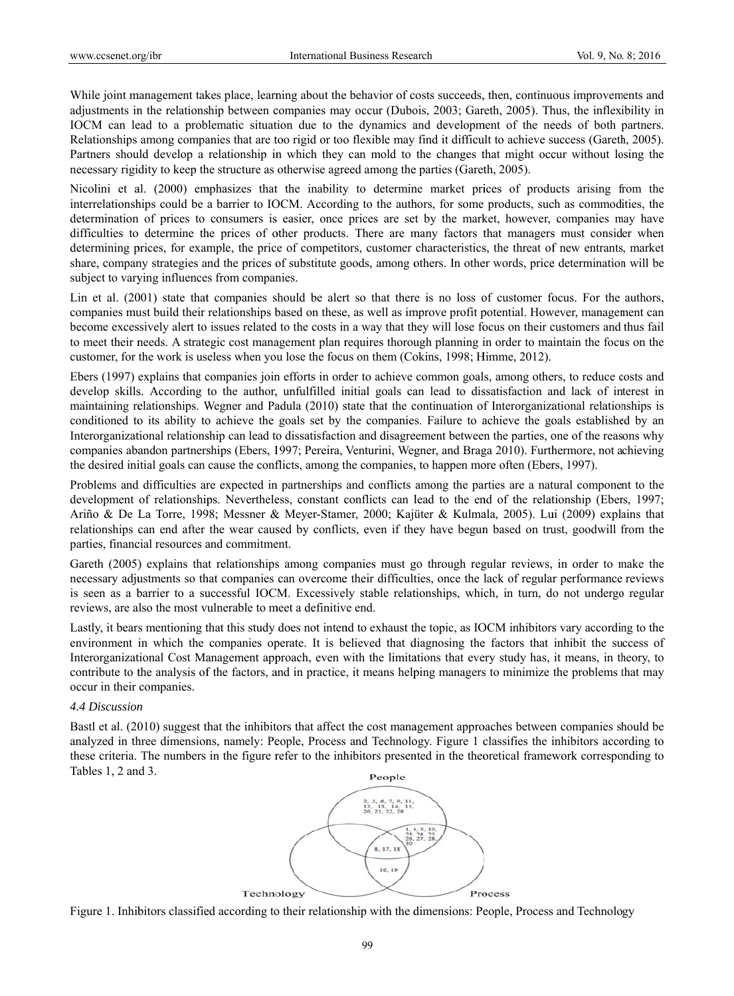While joint management takes place, learning about the behavior of costs succeeds, then, continuous improvements and adjustments in the relationship between companies may occur (Dubois, 2003; Gareth, 2005). Thus, the inflexibility in IOCM can lead to a problematic situation due to the dynamics and development of the needs of both partners. Relationships among companies that are too rigid or too flexible may find it difficult to achieve success (Gareth, 2005). Partners should develop a relationship in which they can mold to the changes that might occur without losing the necessary rigidity to keep the structure as otherwise agreed among the parties (Gareth, 2005).

Nicolini et al. (2000) emphasizes that the inability to determine market prices of products arising from the interrelationships could be a barrier to IOCM. According to the authors, for some products, such as commodities, the determination of prices to consumers is easier, once prices are set by the market, however, companies may have difficulties to determine the prices of other products. There are many factors that managers must consider when determining prices, for example, the price of competitors, customer characteristics, the threat of new entrants, market share, company strategies and the prices of substitute goods, among others. In other words, price determination will be subject to varying influences from companies.

Lin et al. (2001) state that companies should be alert so that there is no loss of customer focus. For the authors, companies must build their relationships based on these, as well as improve profit potential. However, management can become excessively alert to issues related to the costs in a way that they will lose focus on their customers and thus fail to meet their needs. A strategic cost management plan requires thorough planning in order to maintain the focus on the customer, for the work is useless when you lose the focus on them (Cokins, 1998; Himme, 2012).

Ebers (1997) explains that companies join efforts in order to achieve common goals, among others, to reduce costs and develop skills. According to the author, unfulfilled initial goals can lead to dissatisfaction and lack of interest in maintaining relationships. Wegner and Padula (2010) state that the continuation of Interorganizational relationships is conditioned to its ability to achieve the goals set by the companies. Failure to achieve the goals established by an Interorganizational relationship can lead to dissatisfaction and disagreement between the parties, one of the reasons why companies abandon partnerships (Ebers, 1997; Pereira, Venturini, Wegner, and Braga 2010). Furthermore, not achieving the desired initial goals can cause the conflicts, among the companies, to happen more often (Ebers, 1997).

Problems and difficulties are expected in partnerships and conflicts among the parties are a natural component to the development of relationships. Nevertheless, constant conflicts can lead to the end of the relationship (Ebers, 1997; Ariño & De La Torre, 1998; Messner & Meyer-Stamer, 2000; Kajüter & Kulmala, 2005). Lui (2009) explains that relationships can end after the wear caused by conflicts, even if they have begun based on trust, goodwill from the parties, financial resources and commitment.

Gareth (2005) explains that relationships among companies must go through regular reviews, in order to make the necessary adjustments so that companies can overcome their difficulties, once the lack of regular performance reviews is seen as a barrier to a successful IOCM. Excessively stable relationships, which, in turn, do not undergo regular reviews, are also the most vulnerable to meet a definitive end.

Lastly, it bears mentioning that this study does not intend to exhaust the topic, as IOCM inhibitors vary according to the environment in which the companies operate. It is believed that diagnosing the factors that inhibit the success of Interorganizational Cost Management approach, even with the limitations that every study has, it means, in theory, to contribute to the analysis of the factors, and in practice, it means helping managers to minimize the problems that may occur in their companies.

### *4.4 Discussion n*

Bastl et al. (2010) suggest that the inhibitors that affect the cost management approaches between companies should be analyzed in three dimensions, namely: People, Process and Technology. Figure 1 classifies the inhibitors according to these criteria. The numbers in the figure refer to the inhibitors presented in the theoretical framework corresponding to Tables  $1, 2$  and  $3$ .



Figure 1. Inhibitors classified according to their relationship with the dimensions: People, Process and Technology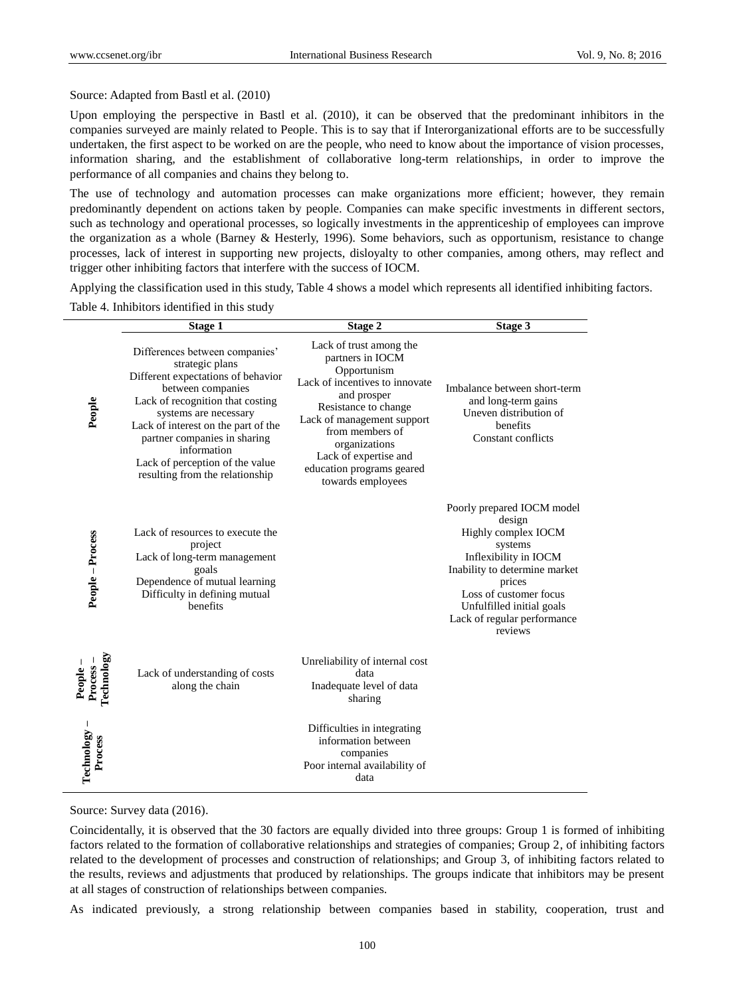Source: Adapted from Bastl et al. (2010)

Upon employing the perspective in Bastl et al. (2010), it can be observed that the predominant inhibitors in the companies surveyed are mainly related to People. This is to say that if Interorganizational efforts are to be successfully undertaken, the first aspect to be worked on are the people, who need to know about the importance of vision processes, information sharing, and the establishment of collaborative long-term relationships, in order to improve the performance of all companies and chains they belong to.

The use of technology and automation processes can make organizations more efficient; however, they remain predominantly dependent on actions taken by people. Companies can make specific investments in different sectors, such as technology and operational processes, so logically investments in the apprenticeship of employees can improve the organization as a whole (Barney & Hesterly, 1996). Some behaviors, such as opportunism, resistance to change processes, lack of interest in supporting new projects, disloyalty to other companies, among others, may reflect and trigger other inhibiting factors that interfere with the success of IOCM.

Applying the classification used in this study, Table 4 shows a model which represents all identified inhibiting factors.

Table 4. Inhibitors identified in this study

|                                     | Stage 1                                                                                                                                                                                                                                                                                                                               | Stage 2                                                                                                                                                                                                                                                                          | Stage 3                                                                                                                                                                                                                                     |
|-------------------------------------|---------------------------------------------------------------------------------------------------------------------------------------------------------------------------------------------------------------------------------------------------------------------------------------------------------------------------------------|----------------------------------------------------------------------------------------------------------------------------------------------------------------------------------------------------------------------------------------------------------------------------------|---------------------------------------------------------------------------------------------------------------------------------------------------------------------------------------------------------------------------------------------|
| People                              | Differences between companies'<br>strategic plans<br>Different expectations of behavior<br>between companies<br>Lack of recognition that costing<br>systems are necessary<br>Lack of interest on the part of the<br>partner companies in sharing<br>information<br>Lack of perception of the value<br>resulting from the relationship | Lack of trust among the<br>partners in IOCM<br>Opportunism<br>Lack of incentives to innovate<br>and prosper<br>Resistance to change<br>Lack of management support<br>from members of<br>organizations<br>Lack of expertise and<br>education programs geared<br>towards employees | Imbalance between short-term<br>and long-term gains<br>Uneven distribution of<br>benefits<br>Constant conflicts                                                                                                                             |
| People - Process                    | Lack of resources to execute the<br>project<br>Lack of long-term management<br>goals<br>Dependence of mutual learning<br>Difficulty in defining mutual<br>benefits                                                                                                                                                                    |                                                                                                                                                                                                                                                                                  | Poorly prepared IOCM model<br>design<br>Highly complex IOCM<br>systems<br>Inflexibility in IOCM<br>Inability to determine market<br>prices<br>Loss of customer focus<br>Unfulfilled initial goals<br>Lack of regular performance<br>reviews |
| People –<br>Process –<br>Technology | Lack of understanding of costs<br>along the chain                                                                                                                                                                                                                                                                                     | Unreliability of internal cost<br>data<br>Inadequate level of data<br>sharing                                                                                                                                                                                                    |                                                                                                                                                                                                                                             |
| Technology<br><b>Process</b>        |                                                                                                                                                                                                                                                                                                                                       | Difficulties in integrating<br>information between<br>companies<br>Poor internal availability of<br>data                                                                                                                                                                         |                                                                                                                                                                                                                                             |

Source: Survey data (2016).

Coincidentally, it is observed that the 30 factors are equally divided into three groups: Group 1 is formed of inhibiting factors related to the formation of collaborative relationships and strategies of companies; Group 2, of inhibiting factors related to the development of processes and construction of relationships; and Group 3, of inhibiting factors related to the results, reviews and adjustments that produced by relationships. The groups indicate that inhibitors may be present at all stages of construction of relationships between companies.

As indicated previously, a strong relationship between companies based in stability, cooperation, trust and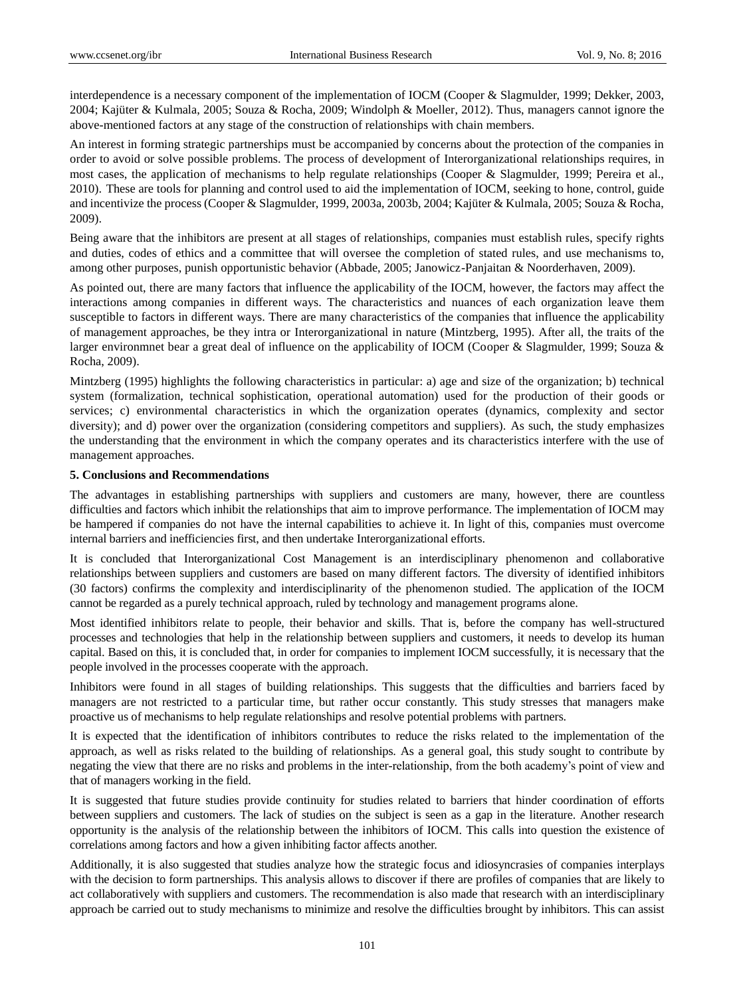interdependence is a necessary component of the implementation of IOCM (Cooper & Slagmulder, 1999; Dekker, 2003, 2004; Kajüter & Kulmala, 2005; Souza & Rocha, 2009; Windolph & Moeller, 2012). Thus, managers cannot ignore the above-mentioned factors at any stage of the construction of relationships with chain members.

An interest in forming strategic partnerships must be accompanied by concerns about the protection of the companies in order to avoid or solve possible problems. The process of development of Interorganizational relationships requires, in most cases, the application of mechanisms to help regulate relationships (Cooper & Slagmulder, 1999; Pereira et al., 2010). These are tools for planning and control used to aid the implementation of IOCM, seeking to hone, control, guide and incentivize the process (Cooper & Slagmulder, 1999, 2003a, 2003b, 2004; Kajüter & Kulmala, 2005; Souza & Rocha, 2009).

Being aware that the inhibitors are present at all stages of relationships, companies must establish rules, specify rights and duties, codes of ethics and a committee that will oversee the completion of stated rules, and use mechanisms to, among other purposes, punish opportunistic behavior (Abbade, 2005; Janowicz-Panjaitan & Noorderhaven, 2009).

As pointed out, there are many factors that influence the applicability of the IOCM, however, the factors may affect the interactions among companies in different ways. The characteristics and nuances of each organization leave them susceptible to factors in different ways. There are many characteristics of the companies that influence the applicability of management approaches, be they intra or Interorganizational in nature (Mintzberg, 1995). After all, the traits of the larger environmnet bear a great deal of influence on the applicability of IOCM (Cooper & Slagmulder, 1999; Souza & Rocha, 2009).

Mintzberg (1995) highlights the following characteristics in particular: a) age and size of the organization; b) technical system (formalization, technical sophistication, operational automation) used for the production of their goods or services; c) environmental characteristics in which the organization operates (dynamics, complexity and sector diversity); and d) power over the organization (considering competitors and suppliers). As such, the study emphasizes the understanding that the environment in which the company operates and its characteristics interfere with the use of management approaches.

#### **5. Conclusions and Recommendations**

The advantages in establishing partnerships with suppliers and customers are many, however, there are countless difficulties and factors which inhibit the relationships that aim to improve performance. The implementation of IOCM may be hampered if companies do not have the internal capabilities to achieve it. In light of this, companies must overcome internal barriers and inefficiencies first, and then undertake Interorganizational efforts.

It is concluded that Interorganizational Cost Management is an interdisciplinary phenomenon and collaborative relationships between suppliers and customers are based on many different factors. The diversity of identified inhibitors (30 factors) confirms the complexity and interdisciplinarity of the phenomenon studied. The application of the IOCM cannot be regarded as a purely technical approach, ruled by technology and management programs alone.

Most identified inhibitors relate to people, their behavior and skills. That is, before the company has well-structured processes and technologies that help in the relationship between suppliers and customers, it needs to develop its human capital. Based on this, it is concluded that, in order for companies to implement IOCM successfully, it is necessary that the people involved in the processes cooperate with the approach.

Inhibitors were found in all stages of building relationships. This suggests that the difficulties and barriers faced by managers are not restricted to a particular time, but rather occur constantly. This study stresses that managers make proactive us of mechanisms to help regulate relationships and resolve potential problems with partners.

It is expected that the identification of inhibitors contributes to reduce the risks related to the implementation of the approach, as well as risks related to the building of relationships. As a general goal, this study sought to contribute by negating the view that there are no risks and problems in the inter-relationship, from the both academy's point of view and that of managers working in the field.

It is suggested that future studies provide continuity for studies related to barriers that hinder coordination of efforts between suppliers and customers. The lack of studies on the subject is seen as a gap in the literature. Another research opportunity is the analysis of the relationship between the inhibitors of IOCM. This calls into question the existence of correlations among factors and how a given inhibiting factor affects another.

Additionally, it is also suggested that studies analyze how the strategic focus and idiosyncrasies of companies interplays with the decision to form partnerships. This analysis allows to discover if there are profiles of companies that are likely to act collaboratively with suppliers and customers. The recommendation is also made that research with an interdisciplinary approach be carried out to study mechanisms to minimize and resolve the difficulties brought by inhibitors. This can assist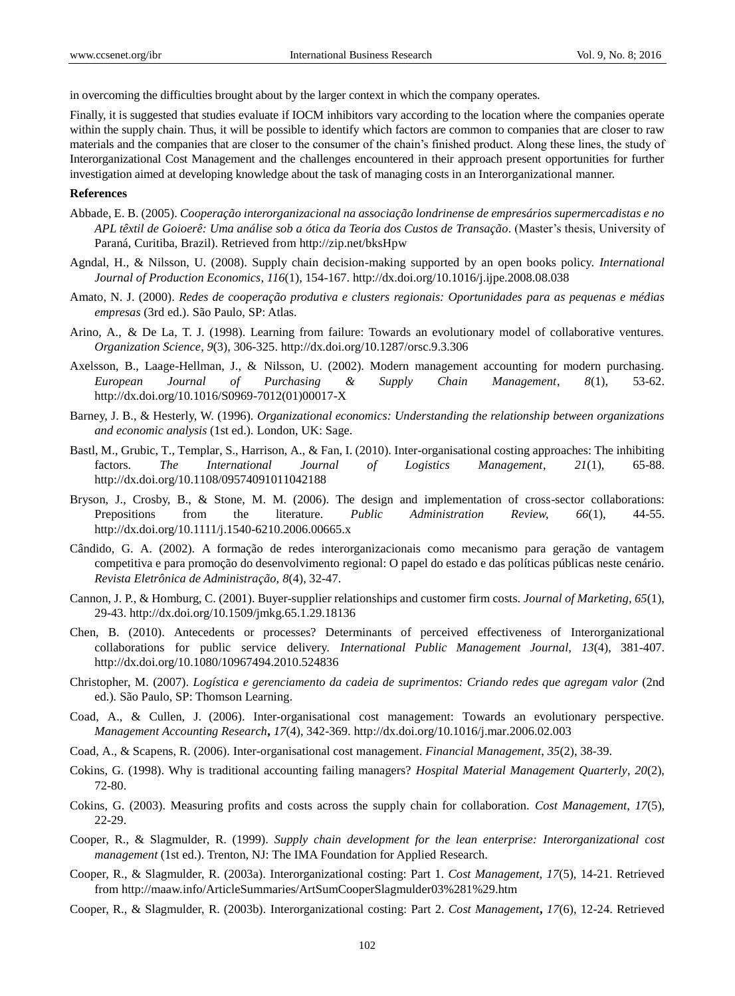in overcoming the difficulties brought about by the larger context in which the company operates.

Finally, it is suggested that studies evaluate if IOCM inhibitors vary according to the location where the companies operate within the supply chain. Thus, it will be possible to identify which factors are common to companies that are closer to raw materials and the companies that are closer to the consumer of the chain's finished product. Along these lines, the study of Interorganizational Cost Management and the challenges encountered in their approach present opportunities for further investigation aimed at developing knowledge about the task of managing costs in an Interorganizational manner.

### **References**

- Abbade, E. B. (2005). *Cooperação interorganizacional na associação londrinense de empresários supermercadistas e no APL têxtil de Goioerê: Uma análise sob a ótica da Teoria dos Custos de Transação*. (Master's thesis, University of Paraná, Curitiba, Brazil). Retrieved fro[m http://zip.net/bksHpw](http://zip.net/bksHpw)
- Agndal, H., & Nilsson, U. (2008). Supply chain decision-making supported by an open books policy. *International Journal of Production Economics*, *116*(1), 154-167. http://dx.doi.org[/10.1016/j.ijpe.2008.08.038](http://dx.doi.org/10.1016/j.ijpe.2008.08.038)
- Amato, N. J. (2000). *Redes de cooperação produtiva e clusters regionais: Oportunidades para as pequenas e médias empresas* (3rd ed.). São Paulo, SP: Atlas.
- Arino, A., & De La, T. J. (1998). Learning from failure: Towards an evolutionary model of collaborative ventures. *Organization Science*, *9*(3), 306-325[. http://dx.doi.org/10.1287/orsc.9.3.306](http://dx.doi.org/10.1287/orsc.9.3.306)
- Axelsson, B., Laage-Hellman, J., & Nilsson, U. (2002). Modern management accounting for modern purchasing. *European Journal of Purchasing & Supply Chain Management*, *8*(1), 53-62. [http://dx.doi.org/10.1016/S0969-7012\(01\)00017-X](http://dx.doi.org/10.1016/S0969-7012(01)00017-X)
- Barney, J. B., & Hesterly, W. (1996). *Organizational economics: Understanding the relationship between organizations and economic analysis* (1st ed.)*.* London, UK: Sage.
- Bastl, M., Grubic, T., Templar, S., Harrison, A., & Fan, I. (2010). Inter-organisational costing approaches: The inhibiting factors. *The International Journal of Logistics Management*, *21*(1), 65-88. <http://dx.doi.org/10.1108/09574091011042188>
- Bryson, J., Crosby, B., & Stone, M. M. (2006). The design and implementation of cross-sector collaborations: Prepositions from the literature. *Public Administration Review, 66*(1), 44-55. <http://dx.doi.org/10.1111/j.1540-6210.2006.00665.x>
- Cândido, G. A. (2002). A formação de redes interorganizacionais como mecanismo para geração de vantagem competitiva e para promoção do desenvolvimento regional: O papel do estado e das políticas públicas neste cenário. *Revista Eletrônica de Administração, 8*(4), 32-47.
- Cannon, J. P., & Homburg, C. (2001). Buyer-supplier relationships and customer firm costs. *Journal of Marketing, 65*(1), 29-43.<http://dx.doi.org/10.1509/jmkg.65.1.29.18136>
- Chen, B. (2010). Antecedents or processes? Determinants of perceived effectiveness of Interorganizational collaborations for public service delivery. *International Public Management Journal, 13*(4), 381-407. <http://dx.doi.org/10.1080/10967494.2010.524836>
- Christopher, M. (2007). *Logística e gerenciamento da cadeia de suprimentos: Criando redes que agregam valor* (2nd ed.)*.* São Paulo, SP: Thomson Learning.
- Coad, A., & Cullen, J. (2006). Inter-organisational cost management: Towards an evolutionary perspective. *Management Accounting Research***,** *17*(4), 342-369[. http://dx.doi.org/10.1016/j.mar.2006.02.003](http://dx.doi.org/)
- Coad, A., & Scapens, R. (2006). Inter-organisational cost management. *Financial Management*, *35*(2), 38-39.
- Cokins, G. (1998). Why is traditional accounting failing managers? *Hospital Material Management Quarterly*, *20*(2), 72-80.
- Cokins, G. (2003). Measuring profits and costs across the supply chain for collaboration. *Cost Management*, *17*(5), 22-29.
- Cooper, R., & Slagmulder, R. (1999). *Supply chain development for the lean enterprise: Interorganizational cost management* (1st ed.). Trenton, NJ: The IMA Foundation for Applied Research.
- Cooper, R., & Slagmulder, R. (2003a). Interorganizational costing: Part 1. *Cost Management, 17*(5), 14-21. Retrieved fro[m http://maaw.info/ArticleSummaries/ArtSumCooperSlagmulder03%281%29.htm](http://maaw.info/ArticleSummaries/ArtSumCooperSlagmulder03%281%29.htm)
- Cooper, R., & Slagmulder, R. (2003b). Interorganizational costing: Part 2. *Cost Management***,** *17*(6), 12-24. Retrieved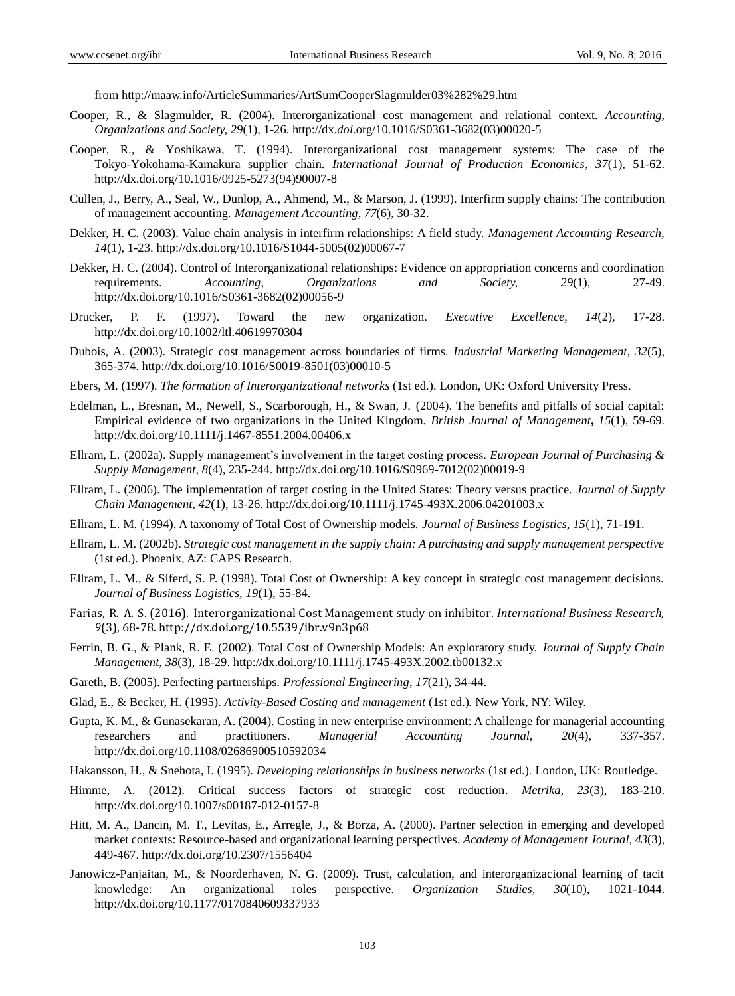fro[m http://maaw.info/ArticleSummaries/ArtSumCooperSlagmulder03%282%29.htm](http://maaw.info/ArticleSummaries/ArtSumCooperSlagmulder03%282%29.htm)

- Cooper, R., & Slagmulder, R. (2004). Interorganizational cost management and relational context. *Accounting, Organizations and Society, 29*(1), 1-26. http://dx.*doi*.org/10.1016/S0361-3682(03)00020-5
- Cooper, R., & Yoshikawa, T. (1994). Interorganizational cost management systems: The case of the Tokyo-Yokohama-Kamakura supplier chain. *International Journal of Production Economics*, *37*(1), 51-62. http://dx.doi.org[/10.1016/0925-5273\(94\)90007-8](http://dx.doi.org/10.1016/0925-5273%2894%2990007-8)
- Cullen, J., Berry, A., Seal, W., Dunlop, A., Ahmend, M., & Marson, J. (1999). Interfirm supply chains: The contribution of management accounting. *Management Accounting*, *77*(6), 30-32.
- Dekker, H. C. (2003). Value chain analysis in interfirm relationships: A field study. *Management Accounting Research, 14*(1), 1-23[. http://dx.doi.org/10.1016/S1044-5005\(02\)00067-7](http://dx.doi.org/10.1016/S1044-5005(02)00067-7)
- Dekker, H. C. (2004). Control of Interorganizational relationships: Evidence on appropriation concerns and coordination requirements. *Accounting, Organizations and Society, 29*(1), 27-49. [http://dx.doi.org/10.1016/S0361-3682\(02\)00056-9](http://dx.doi.org/10.1016/S0361-3682%2802%2900056-9)
- Drucker, P. F. (1997). Toward the new organization. *Executive Excellence, 14*(2), 17-28. <http://dx.doi.org/10.1002/ltl.40619970304>
- Dubois, A. (2003). Strategic cost management across boundaries of firms. *Industrial Marketing Management, 32*(5), 365-374. [http://dx.doi.org/10.1016/S0019-8501\(03\)00010-5](http://dx.doi.org/10.1016/S0019-8501%2803%2900010-5)
- Ebers, M. (1997). *The formation of Interorganizational networks* (1st ed.). London, UK: Oxford University Press.
- Edelman, L., Bresnan, M., Newell, S., Scarborough, H., & Swan, J. (2004). The benefits and pitfalls of social capital: Empirical evidence of two organizations in the United Kingdom. *British Journal of Management***,** *15*(1), 59-69. <http://dx.doi.org/10.1111/j.1467-8551.2004.00406.x>
- Ellram, L. (2002a). Supply management's involvement in the target costing process. *European Journal of Purchasing & Supply Management, 8*(4), 235-244[. http://dx.doi.org/10.1016/S0969-7012\(02\)00019-9](http://dx.doi.org/)
- Ellram, L. (2006). The implementation of target costing in the United States: Theory versus practice. *Journal of Supply Chain Management, 42*(1), 13-26. <http://dx.doi.org/10.1111/j.1745-493X.2006.04201003.x>
- Ellram, L. M. (1994). A taxonomy of Total Cost of Ownership models. *Journal of Business Logistics, 15*(1), 71-191.
- Ellram, L. M. (2002b). *Strategic cost management in the supply chain: A purchasing and supply management perspective*  (1st ed.)[. Phoenix,](https://www.google.com.br/search?biw=1366&bih=659&noj=1&q=phoenix+arizona&stick=H4sIAAAAAAAAAOPgE2LXz9U3KMstUeIAMVKMTSu1ZLOTrfRz8pMTSzLz8_RLi-OLSxJLUq2SEwsySxJzAJRobDU0AAAA&sa=X&ved=0ahUKEwjj9taY6qDKAhWBTZAKHWeUDyEQmxMIiwEoATAS) AZ: CAPS Research.
- Ellram, L. M., & Siferd, S. P. (1998). Total Cost of Ownership: A key concept in strategic cost management decisions. *Journal of Business Logistics, 19*(1), 55-84.
- Farias, R. A. S. (2016). Interorganizational Cost Management study on inhibitor. *International Business Research, 9*(3), 68-78.<http://dx.doi.org/10.5539/ibr.v9n3p68>
- Ferrin, B. G., & Plank, R. E. (2002). Total Cost of Ownership Models: An exploratory study. *Journal of Supply Chain Management, 38*(3), 18-29.<http://dx.doi.org/10.1111/j.1745-493X.2002.tb00132.x>
- Gareth, B. (2005). Perfecting partnerships. *Professional Engineering*, *17*(21), 34-44.
- Glad, E., & Becker, H. (1995). *Activity-Based Costing and management* (1st ed.)*.* New York, NY: Wiley.
- Gupta, K. M., & Gunasekaran, A. (2004). Costing in new enterprise environment: A challenge for managerial accounting researchers and practitioners. *Managerial Accounting Journal, 20*(4), 337-357. <http://dx.doi.org/10.1108/02686900510592034>
- Hakansson, H., & Snehota, I. (1995). *Developing relationships in business networks* (1st ed.)*.* London, UK: Routledge.
- Himme, A. (2012). [Critical success factors of strategic cost reduction.](https://ideas.repec.org/a/spr/metrik/v23y2012i3p183-210.html) *[Metrika,](https://ideas.repec.org/s/spr/metrik.html) 23*(3), 183-210. <http://dx.doi.org/10.1007/s00187-012-0157-8>
- Hitt, M. A., Dancin, M. T., Levitas, E., Arregle, J., & Borza, A. (2000). Partner selection in emerging and developed market contexts: Resource-based and organizational learning perspectives. *Academy of Management Journal, 43*(3), 449-467.<http://dx.doi.org/10.2307/1556404>
- Janowicz-Panjaitan, M., & Noorderhaven, N. G. (2009). Trust, calculation, and interorganizacional learning of tacit knowledge: An organizational roles perspective. *Organization Studies, 30*(10), 1021-1044. <http://dx.doi.org/10.1177/0170840609337933>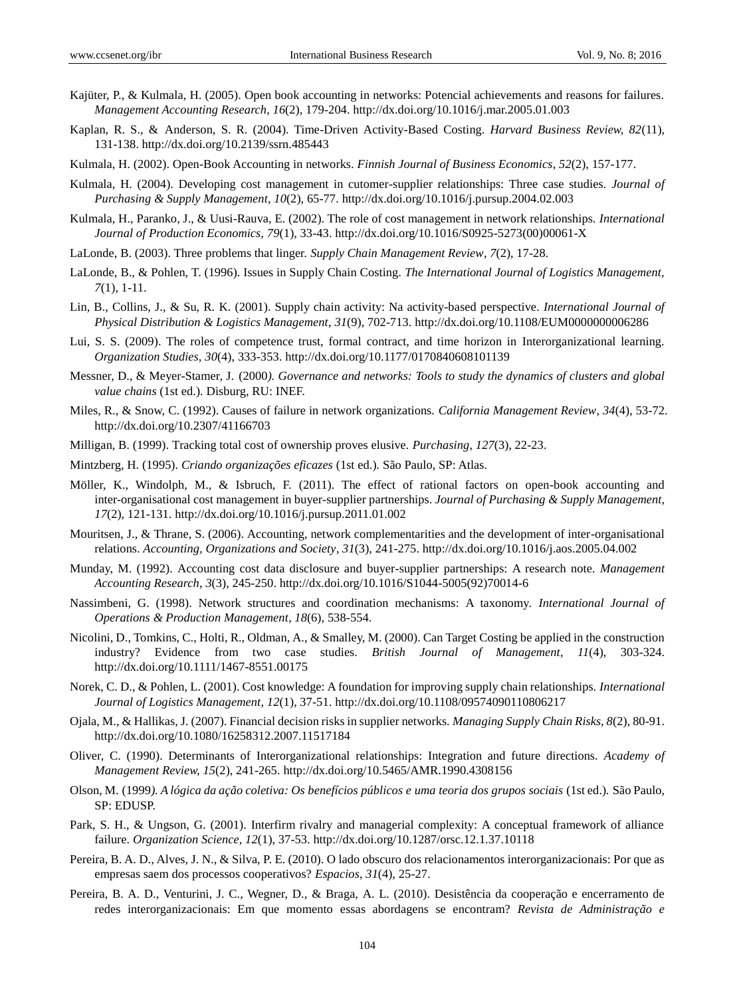- Kajüter, P., & Kulmala, H. (2005). Open book accounting in networks: Potencial achievements and reasons for failures. *Management Accounting Research, 16*(2), 179-204.<http://dx.doi.org/10.1016/j.mar.2005.01.003>
- Kaplan, R. S., & Anderson, S. R. (2004). Time-Driven Activity-Based Costing. *Harvard Business Review, 82*(11), 131-138.<http://dx.doi.org/10.2139/ssrn.485443>
- Kulmala, H. (2002). Open-Book Accounting in networks. *Finnish Journal of Business Economics*, *52*(2), 157-177.
- Kulmala, H. (2004). Developing cost management in cutomer-supplier relationships: Three case studies. *Journal of Purchasing & Supply Management*, *10*(2), 65-77.<http://dx.doi.org/10.1016/j.pursup.2004.02.003>
- Kulmala, H., Paranko, J., & Uusi-Rauva, E. (2002). The role of cost management in network relationships. *International Journal of Production Economics, 79*(1), 33-43[. http://dx.doi.org/10.1016/S0925-5273\(00\)00061-X](http://dx.doi.org/10.1016/S0925-5273(00)00061-X)
- LaLonde, B. (2003). Three problems that linger. *Supply Chain Management Review*, *7*(2), 17-28.
- LaLonde, B., & Pohlen, T. (1996). Issues in Supply Chain Costing. *The International Journal of Logistics Management, 7*(1), 1-11.
- Lin, B., Collins, J., & Su, R. K. (2001). Supply chain activity: Na activity-based perspective. *International Journal of Physical Distribution & Logistics Management*, *31*(9), 702-713.<http://dx.doi.org/10.1108/EUM0000000006286>
- Lui, S. S. (2009). The roles of competence trust, formal contract, and time horizon in Interorganizational learning. *Organization Studies, 30*(4), 333-353.<http://dx.doi.org/10.1177/0170840608101139>
- Messner, D., & Meyer-Stamer, J. (2000*). Governance and networks: Tools to study the dynamics of clusters and global value chains* (1st ed.)*.* Disburg, RU: INEF.
- Miles, R., & Snow, C. (1992). Causes of failure in network organizations. *California Management Review, 34*(4), 53-72. <http://dx.doi.org/10.2307/41166703>
- Milligan, B. (1999). Tracking total cost of ownership proves elusive. *Purchasing*, *127*(3), 22-23.
- Mintzberg, H. (1995). *Criando organizações eficazes* (1st ed.)*.* São Paulo, SP: Atlas.
- Möller, K., Windolph, M., & Isbruch, F. (2011). The effect of rational factors on open-book accounting and inter-organisational cost management in buyer-supplier partnerships. *Journal of Purchasing & Supply Management*, *17*(2), 121-131[. http://dx.doi.org/10.1016/j.pursup.2011.01.002](http://dx.doi.org/10.1016/j.pursup.2011.01.002)
- Mouritsen, J., & Thrane, S. (2006). Accounting, network complementarities and the development of inter-organisational relations. *Accounting, Organizations and Society*, *31*(3), 241-275. <http://dx.doi.org/10.1016/j.aos.2005.04.002>
- Munday, M. (1992). Accounting cost data disclosure and buyer-supplier partnerships: A research note. *Management Accounting Research*, *3*(3), 245-250[. http://dx.doi.org/10.1016/S1044-5005\(92\)70014-6](http://dx.doi.org/10.1016/S1044-5005(92)70014-6)
- Nassimbeni, G. (1998). Network structures and coordination mechanisms: A taxonomy. *International Journal of Operations & Production Management*, *18*(6), 538-554.
- Nicolini, D., Tomkins, C., Holti, R., Oldman, A., & Smalley, M. (2000). Can Target Costing be applied in the construction industry? Evidence from two case studies. *British Journal of Management*, *11*(4), 303-324. <http://dx.doi.org/10.1111/1467-8551.00175>
- Norek, C. D., & Pohlen, L. (2001). Cost knowledge: A foundation for improving supply chain relationships. *International Journal of Logistics Management*, *12*(1), 37-51[. http://dx.doi.org/10.1108/09574090110806217](http://dx.doi.org/10.1108/09574090110806217)
- Ojala, M., & Hallikas, J. (2007). Financial decision risks in supplier networks. *Managing Supply Chain Risks*, *8*(2), 80-91. <http://dx.doi.org/10.1080/16258312.2007.11517184>
- Oliver, C. (1990). Determinants of Interorganizational relationships: Integration and future directions. *Academy of Management Review, 15*(2), 241-265[. http://dx.doi.org/10.5465/AMR.1990.4308156](http://dx.doi.org/10.5465/AMR.1990.4308156)
- Olson, M. (1999*). A lógica da ação coletiva: Os benefícios públicos e uma teoria dos grupos sociais* (1st ed.)*.* São Paulo, SP: EDUSP.
- Park, S. H., & Ungson, G. (2001). Interfirm rivalry and managerial complexity: A conceptual framework of alliance failure. *Organization Science, 12*(1), 37-53.<http://dx.doi.org/10.1287/orsc.12.1.37.10118>
- Pereira, B. A. D., Alves, J. N., & Silva, P. E. (2010). O lado obscuro dos relacionamentos interorganizacionais: Por que as empresas saem dos processos cooperativos? *Espacios*, *31*(4), 25-27.
- Pereira, B. A. D., Venturini, J. C., Wegner, D., & Braga, A. L. (2010). Desistência da cooperação e encerramento de redes interorganizacionais: Em que momento essas abordagens se encontram? *Revista de Administração e*